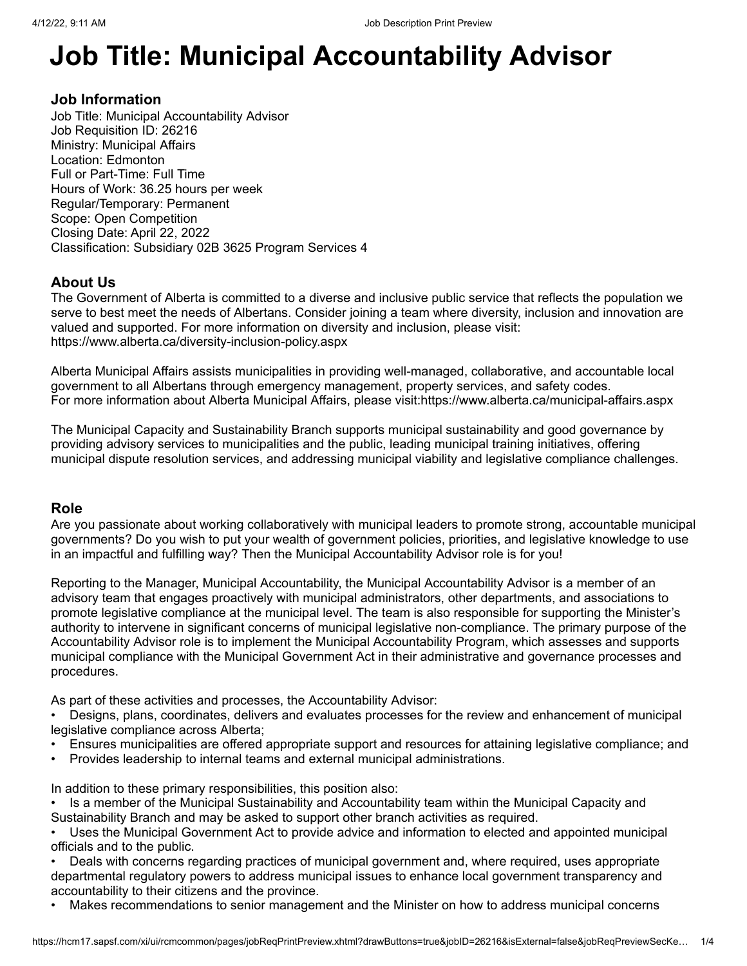# **Job Title: Municipal Accountability Advisor**

# **Job Information**

Job Title: Municipal Accountability Advisor Job Requisition ID: 26216 Ministry: Municipal Affairs Location: Edmonton Full or Part-Time: Full Time Hours of Work: 36.25 hours per week Regular/Temporary: Permanent Scope: Open Competition Closing Date: April 22, 2022 Classification: Subsidiary 02B 3625 Program Services 4

# **About Us**

The Government of Alberta is committed to a diverse and inclusive public service that reflects the population we serve to best meet the needs of Albertans. Consider joining a team where diversity, inclusion and innovation are valued and supported. For more information on diversity and inclusion, please visit: [https://www.alberta.ca/diversity-inclusion-policy.aspx](javascript:void(0);)

Alberta Municipal Affairs assists municipalities in providing well-managed, collaborative, and accountable local government to all Albertans through emergency management, property services, and safety codes. For more information about Alberta Municipal Affairs, please visit[:https://www.alberta.ca/municipal-affairs.aspx](javascript:void(0);)

The Municipal Capacity and Sustainability Branch supports municipal sustainability and good governance by providing advisory services to municipalities and the public, leading municipal training initiatives, offering municipal dispute resolution services, and addressing municipal viability and legislative compliance challenges.

# **Role**

Are you passionate about working collaboratively with municipal leaders to promote strong, accountable municipal governments? Do you wish to put your wealth of government policies, priorities, and legislative knowledge to use in an impactful and fulfilling way? Then the Municipal Accountability Advisor role is for you!

Reporting to the Manager, Municipal Accountability, the Municipal Accountability Advisor is a member of an advisory team that engages proactively with municipal administrators, other departments, and associations to promote legislative compliance at the municipal level. The team is also responsible for supporting the Minister's authority to intervene in significant concerns of municipal legislative non-compliance. The primary purpose of the Accountability Advisor role is to implement the Municipal Accountability Program, which assesses and supports municipal compliance with the Municipal Government Act in their administrative and governance processes and procedures.

As part of these activities and processes, the Accountability Advisor:

• Designs, plans, coordinates, delivers and evaluates processes for the review and enhancement of municipal legislative compliance across Alberta;

- Ensures municipalities are offered appropriate support and resources for attaining legislative compliance; and
- Provides leadership to internal teams and external municipal administrations.

In addition to these primary responsibilities, this position also:

• Is a member of the Municipal Sustainability and Accountability team within the Municipal Capacity and Sustainability Branch and may be asked to support other branch activities as required.

• Uses the Municipal Government Act to provide advice and information to elected and appointed municipal officials and to the public.

• Deals with concerns regarding practices of municipal government and, where required, uses appropriate departmental regulatory powers to address municipal issues to enhance local government transparency and accountability to their citizens and the province.

• Makes recommendations to senior management and the Minister on how to address municipal concerns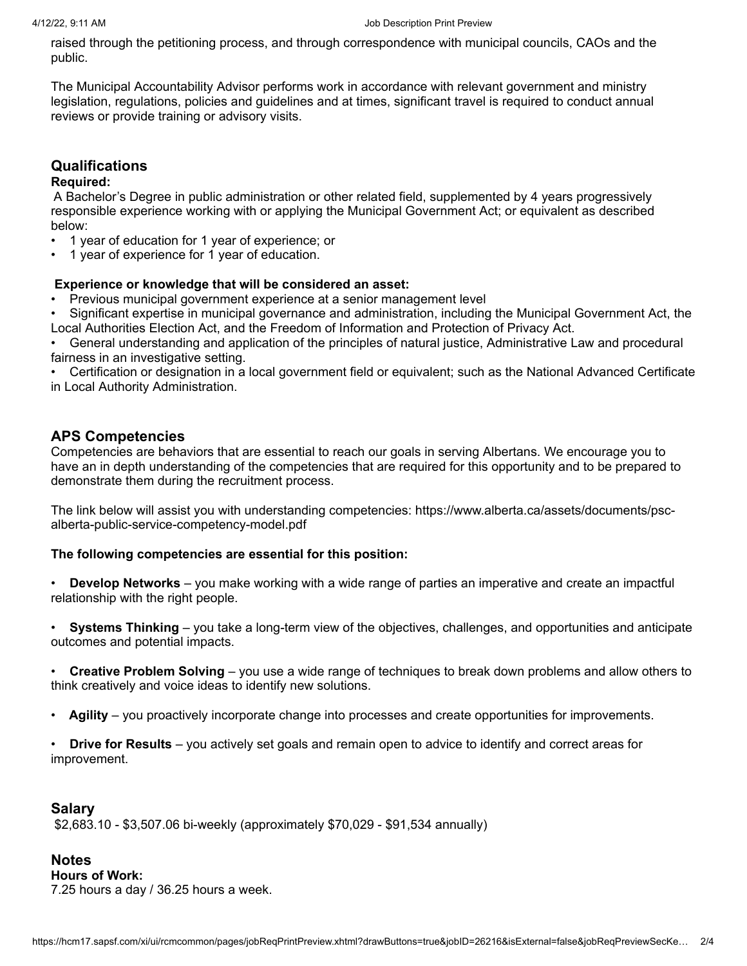raised through the petitioning process, and through correspondence with municipal councils, CAOs and the public.

The Municipal Accountability Advisor performs work in accordance with relevant government and ministry legislation, regulations, policies and guidelines and at times, significant travel is required to conduct annual reviews or provide training or advisory visits.

# **Qualifications**

## **Required:**

 A Bachelor's Degree in public administration or other related field, supplemented by 4 years progressively responsible experience working with or applying the Municipal Government Act; or equivalent as described below:

- 1 year of education for 1 year of experience; or
- 1 year of experience for 1 year of education.

## **Experience or knowledge that will be considered an asset:**

• Previous municipal government experience at a senior management level

• Significant expertise in municipal governance and administration, including the Municipal Government Act, the Local Authorities Election Act, and the Freedom of Information and Protection of Privacy Act.

• General understanding and application of the principles of natural justice, Administrative Law and procedural fairness in an investigative setting.

• Certification or designation in a local government field or equivalent; such as the National Advanced Certificate in Local Authority Administration.

# **APS Competencies**

Competencies are behaviors that are essential to reach our goals in serving Albertans. We encourage you to have an in depth understanding of the competencies that are required for this opportunity and to be prepared to demonstrate them during the recruitment process.

[The link below will assist you with understanding competencies: https://www.alberta.ca/assets/documents/psc](javascript:void(0);)alberta-public-service-competency-model.pdf

#### **The following competencies are essential for this position:**

• **Develop Networks** – you make working with a wide range of parties an imperative and create an impactful relationship with the right people.

• **Systems Thinking** – you take a long-term view of the objectives, challenges, and opportunities and anticipate outcomes and potential impacts.

• **Creative Problem Solving** – you use a wide range of techniques to break down problems and allow others to think creatively and voice ideas to identify new solutions.

• **Agility** – you proactively incorporate change into processes and create opportunities for improvements.

• **Drive for Results** – you actively set goals and remain open to advice to identify and correct areas for improvement.

## **Salary**

\$2,683.10 - \$3,507.06 bi-weekly (approximately \$70,029 - \$91,534 annually)

# **Notes**

**Hours of Work:**

7.25 hours a day / 36.25 hours a week.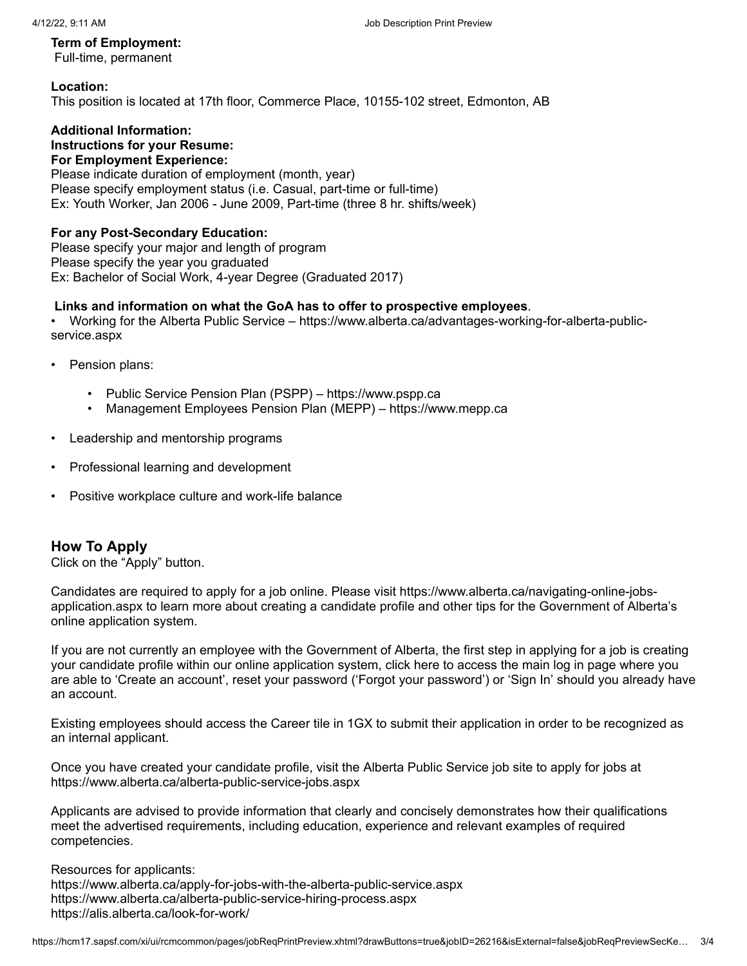#### **Term of Employment:**

Full-time, permanent

#### **Location:** This position is located at 17th floor, Commerce Place, 10155-102 street, Edmonton, AB

#### **Additional Information: Instructions for your Resume: For Employment Experience:**

Please indicate duration of employment (month, year) Please specify employment status (i.e. Casual, part-time or full-time) Ex: Youth Worker, Jan 2006 - June 2009, Part-time (three 8 hr. shifts/week)

## **For any Post-Secondary Education:**

Please specify your major and length of program Please specify the year you graduated Ex: Bachelor of Social Work, 4-year Degree (Graduated 2017)

## **Links and information on what the GoA has to offer to prospective employees**.

[• Working for the Alberta Public Service – https://www.alberta.ca/advantages-working-for-alberta-public](javascript:void(0);)service.aspx

- Pension plans:
	- Public Service Pension Plan (PSPP) – [https://www.pspp.ca](javascript:void(0);)
	- Management Employees Pension Plan (MEPP) – [https://www.mepp.ca](javascript:void(0);)
- Leadership and mentorship programs
- Professional learning and development
- Positive workplace culture and work-life balance

# **How To Apply**

Click on the "Apply" button.

[Candidates are required to apply for a job online. Please visit https://www.alberta.ca/navigating-online-jobs](javascript:void(0);)application.aspx to learn more about [creating a candidate profile](javascript:void(0);) and other tips for the Government of Alberta's online application system.

If you are not currently an employee with the Government of Alberta, the first step in applying for a job is creating your candidate profile within our online application system, [click here](javascript:void(0);) to access the main log in page where you are able to 'Create an account', reset your password ('Forgot your password') or 'Sign In' should you already have an account.

Existing employees should access the Career tile in 1GX to submit their application in order to be recognized as an internal applicant.

Once you have created your candidate profile, visit the Alberta Public Service job site to apply for jobs at [https://www.alberta.ca/alberta-public-service-jobs.aspx](javascript:void(0);)

Applicants are advised to provide information that clearly and concisely demonstrates how their qualifications meet the advertised requirements, including education, experience and relevant examples of required competencies.

Resources for applicants: [https://www.alberta.ca/apply-for-jobs-with-the-alberta-public-service.aspx](javascript:void(0);)  [https://www.alberta.ca/alberta-public-service-hiring-process.aspx](javascript:void(0);) [https://alis.alberta.ca/look-for-work/](javascript:void(0);)